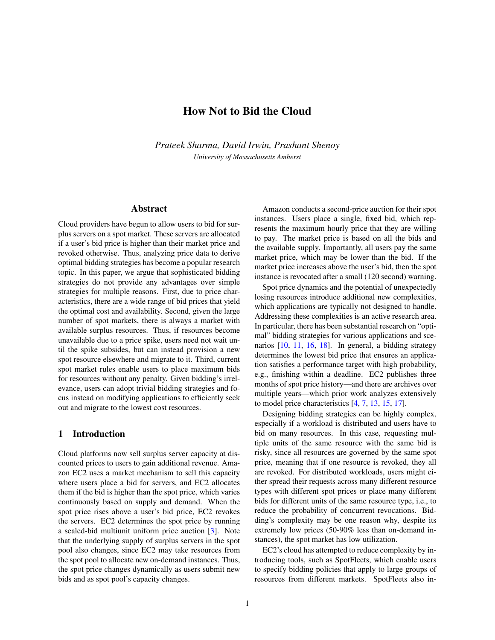# How Not to Bid the Cloud

*Prateek Sharma, David Irwin, Prashant Shenoy University of Massachusetts Amherst*

## Abstract

Cloud providers have begun to allow users to bid for surplus servers on a spot market. These servers are allocated if a user's bid price is higher than their market price and revoked otherwise. Thus, analyzing price data to derive optimal bidding strategies has become a popular research topic. In this paper, we argue that sophisticated bidding strategies do not provide any advantages over simple strategies for multiple reasons. First, due to price characteristics, there are a wide range of bid prices that yield the optimal cost and availability. Second, given the large number of spot markets, there is always a market with available surplus resources. Thus, if resources become unavailable due to a price spike, users need not wait until the spike subsides, but can instead provision a new spot resource elsewhere and migrate to it. Third, current spot market rules enable users to place maximum bids for resources without any penalty. Given bidding's irrelevance, users can adopt trivial bidding strategies and focus instead on modifying applications to efficiently seek out and migrate to the lowest cost resources.

## 1 Introduction

Cloud platforms now sell surplus server capacity at discounted prices to users to gain additional revenue. Amazon EC2 uses a market mechanism to sell this capacity where users place a bid for servers, and EC2 allocates them if the bid is higher than the spot price, which varies continuously based on supply and demand. When the spot price rises above a user's bid price, EC2 revokes the servers. EC2 determines the spot price by running a sealed-bid multiunit uniform price auction [\[3\]](#page-5-0). Note that the underlying supply of surplus servers in the spot pool also changes, since EC2 may take resources from the spot pool to allocate new on-demand instances. Thus, the spot price changes dynamically as users submit new bids and as spot pool's capacity changes.

Amazon conducts a second-price auction for their spot instances. Users place a single, fixed bid, which represents the maximum hourly price that they are willing to pay. The market price is based on all the bids and the available supply. Importantly, all users pay the same market price, which may be lower than the bid. If the market price increases above the user's bid, then the spot instance is revocated after a small (120 second) warning.

Spot price dynamics and the potential of unexpectedly losing resources introduce additional new complexities, which applications are typically not designed to handle. Addressing these complexities is an active research area. In particular, there has been substantial research on "optimal" bidding strategies for various applications and scenarios [\[10,](#page-5-1) [11,](#page-5-2) [16,](#page-5-3) [18\]](#page-5-4). In general, a bidding strategy determines the lowest bid price that ensures an application satisfies a performance target with high probability, e.g., finishing within a deadline. EC2 publishes three months of spot price history—and there are archives over multiple years—which prior work analyzes extensively to model price characteristics [\[4,](#page-5-5) [7,](#page-5-6) [13,](#page-5-7) [15,](#page-5-8) [17\]](#page-5-9).

Designing bidding strategies can be highly complex, especially if a workload is distributed and users have to bid on many resources. In this case, requesting multiple units of the same resource with the same bid is risky, since all resources are governed by the same spot price, meaning that if one resource is revoked, they all are revoked. For distributed workloads, users might either spread their requests across many different resource types with different spot prices or place many different bids for different units of the same resource type, i.e., to reduce the probability of concurrent revocations. Bidding's complexity may be one reason why, despite its extremely low prices (50-90% less than on-demand instances), the spot market has low utilization.

EC2's cloud has attempted to reduce complexity by introducing tools, such as SpotFleets, which enable users to specify bidding policies that apply to large groups of resources from different markets. SpotFleets also in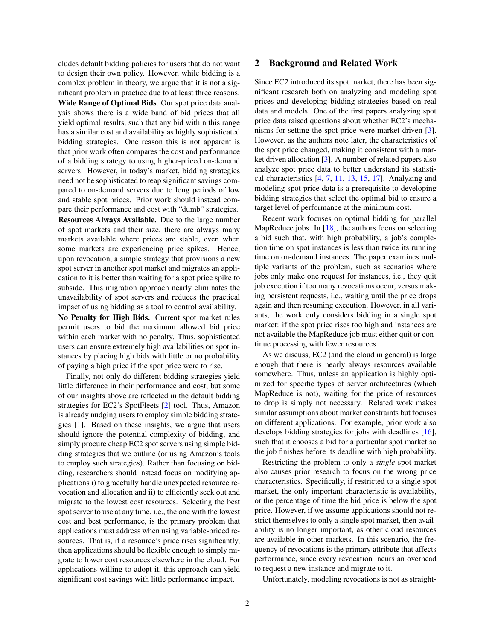cludes default bidding policies for users that do not want to design their own policy. However, while bidding is a complex problem in theory, we argue that it is not a significant problem in practice due to at least three reasons.

Wide Range of Optimal Bids. Our spot price data analysis shows there is a wide band of bid prices that all yield optimal results, such that any bid within this range has a similar cost and availability as highly sophisticated bidding strategies. One reason this is not apparent is that prior work often compares the cost and performance of a bidding strategy to using higher-priced on-demand servers. However, in today's market, bidding strategies need not be sophisticated to reap significant savings compared to on-demand servers due to long periods of low and stable spot prices. Prior work should instead compare their performance and cost with "dumb" strategies.

Resources Always Available. Due to the large number of spot markets and their size, there are always many markets available where prices are stable, even when some markets are experiencing price spikes. Hence, upon revocation, a simple strategy that provisions a new spot server in another spot market and migrates an application to it is better than waiting for a spot price spike to subside. This migration approach nearly eliminates the unavailability of spot servers and reduces the practical impact of using bidding as a tool to control availability.

No Penalty for High Bids. Current spot market rules permit users to bid the maximum allowed bid price within each market with no penalty. Thus, sophisticated users can ensure extremely high availabilities on spot instances by placing high bids with little or no probability of paying a high price if the spot price were to rise.

Finally, not only do different bidding strategies yield little difference in their performance and cost, but some of our insights above are reflected in the default bidding strategies for EC2's SpotFleets [\[2\]](#page-5-10) tool. Thus, Amazon is already nudging users to employ simple bidding strategies [\[1\]](#page-5-11). Based on these insights, we argue that users should ignore the potential complexity of bidding, and simply procure cheap EC2 spot servers using simple bidding strategies that we outline (or using Amazon's tools to employ such strategies). Rather than focusing on bidding, researchers should instead focus on modifying applications i) to gracefully handle unexpected resource revocation and allocation and ii) to efficiently seek out and migrate to the lowest cost resources. Selecting the best spot server to use at any time, i.e., the one with the lowest cost and best performance, is the primary problem that applications must address when using variable-priced resources. That is, if a resource's price rises significantly, then applications should be flexible enough to simply migrate to lower cost resources elsewhere in the cloud. For applications willing to adopt it, this approach can yield significant cost savings with little performance impact.

#### 2 Background and Related Work

Since EC2 introduced its spot market, there has been significant research both on analyzing and modeling spot prices and developing bidding strategies based on real data and models. One of the first papers analyzing spot price data raised questions about whether EC2's mechanisms for setting the spot price were market driven [\[3\]](#page-5-0). However, as the authors note later, the characteristics of the spot price changed, making it consistent with a market driven allocation [\[3\]](#page-5-0). A number of related papers also analyze spot price data to better understand its statistical characteristics [\[4,](#page-5-5) [7,](#page-5-6) [11,](#page-5-2) [13,](#page-5-7) [15,](#page-5-8) [17\]](#page-5-9). Analyzing and modeling spot price data is a prerequisite to developing bidding strategies that select the optimal bid to ensure a target level of performance at the minimum cost.

Recent work focuses on optimal bidding for parallel MapReduce jobs. In  $[18]$ , the authors focus on selecting a bid such that, with high probability, a job's completion time on spot instances is less than twice its running time on on-demand instances. The paper examines multiple variants of the problem, such as scenarios where jobs only make one request for instances, i.e., they quit job execution if too many revocations occur, versus making persistent requests, i.e., waiting until the price drops again and then resuming execution. However, in all variants, the work only considers bidding in a single spot market: if the spot price rises too high and instances are not available the MapReduce job must either quit or continue processing with fewer resources.

As we discuss, EC2 (and the cloud in general) is large enough that there is nearly always resources available somewhere. Thus, unless an application is highly optimized for specific types of server architectures (which MapReduce is not), waiting for the price of resources to drop is simply not necessary. Related work makes similar assumptions about market constraints but focuses on different applications. For example, prior work also develops bidding strategies for jobs with deadlines [\[16\]](#page-5-3), such that it chooses a bid for a particular spot market so the job finishes before its deadline with high probability.

Restricting the problem to only a *single* spot market also causes prior research to focus on the wrong price characteristics. Specifically, if restricted to a single spot market, the only important characteristic is availability, or the percentage of time the bid price is below the spot price. However, if we assume applications should not restrict themselves to only a single spot market, then availability is no longer important, as other cloud resources are available in other markets. In this scenario, the frequency of revocations is the primary attribute that affects performance, since every revocation incurs an overhead to request a new instance and migrate to it.

Unfortunately, modeling revocations is not as straight-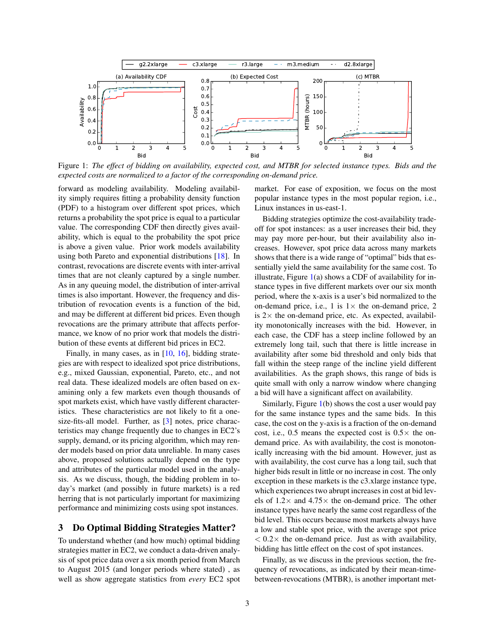<span id="page-2-0"></span>

Figure 1: *The effect of bidding on availability, expected cost, and MTBR for selected instance types. Bids and the expected costs are normalized to a factor of the corresponding on-demand price.*

forward as modeling availability. Modeling availability simply requires fitting a probability density function (PDF) to a histogram over different spot prices, which returns a probability the spot price is equal to a particular value. The corresponding CDF then directly gives availability, which is equal to the probability the spot price is above a given value. Prior work models availability using both Pareto and exponential distributions [\[18\]](#page-5-4). In contrast, revocations are discrete events with inter-arrival times that are not cleanly captured by a single number. As in any queuing model, the distribution of inter-arrival times is also important. However, the frequency and distribution of revocation events is a function of the bid, and may be different at different bid prices. Even though revocations are the primary attribute that affects performance, we know of no prior work that models the distribution of these events at different bid prices in EC2.

Finally, in many cases, as in [\[10,](#page-5-1) [16\]](#page-5-3), bidding strategies are with respect to idealized spot price distributions, e.g., mixed Gaussian, exponential, Pareto, etc., and not real data. These idealized models are often based on examining only a few markets even though thousands of spot markets exist, which have vastly different characteristics. These characteristics are not likely to fit a onesize-fits-all model. Further, as [\[3\]](#page-5-0) notes, price characteristics may change frequently due to changes in EC2's supply, demand, or its pricing algorithm, which may render models based on prior data unreliable. In many cases above, proposed solutions actually depend on the type and attributes of the particular model used in the analysis. As we discuss, though, the bidding problem in today's market (and possibly in future markets) is a red herring that is not particularly important for maximizing performance and minimizing costs using spot instances.

#### 3 Do Optimal Bidding Strategies Matter?

To understand whether (and how much) optimal bidding strategies matter in EC2, we conduct a data-driven analysis of spot price data over a six month period from March to August 2015 (and longer periods where stated) , as well as show aggregate statistics from *every* EC2 spot market. For ease of exposition, we focus on the most popular instance types in the most popular region, i.e., Linux instances in us-east-1.

Bidding strategies optimize the cost-availability tradeoff for spot instances: as a user increases their bid, they may pay more per-hour, but their availability also increases. However, spot price data across many markets shows that there is a wide range of "optimal" bids that essentially yield the same availability for the same cost. To illustrate, Figure  $1(a)$  $1(a)$  shows a CDF of availability for instance types in five different markets over our six month period, where the x-axis is a user's bid normalized to the on-demand price, i.e., 1 is  $1 \times$  the on-demand price, 2 is  $2 \times$  the on-demand price, etc. As expected, availability monotonically increases with the bid. However, in each case, the CDF has a steep incline followed by an extremely long tail, such that there is little increase in availability after some bid threshold and only bids that fall within the steep range of the incline yield different availabilities. As the graph shows, this range of bids is quite small with only a narrow window where changing a bid will have a significant affect on availability.

Similarly, Figure [1\(](#page-2-0)b) shows the cost a user would pay for the same instance types and the same bids. In this case, the cost on the y-axis is a fraction of the on-demand cost, i.e., 0.5 means the expected cost is  $0.5 \times$  the ondemand price. As with availability, the cost is monotonically increasing with the bid amount. However, just as with availability, the cost curve has a long tail, such that higher bids result in little or no increase in cost. The only exception in these markets is the c3.xlarge instance type, which experiences two abrupt increases in cost at bid levels of  $1.2 \times$  and  $4.75 \times$  the on-demand price. The other instance types have nearly the same cost regardless of the bid level. This occurs because most markets always have a low and stable spot price, with the average spot price  $< 0.2 \times$  the on-demand price. Just as with availability, bidding has little effect on the cost of spot instances.

Finally, as we discuss in the previous section, the frequency of revocations, as indicated by their mean-timebetween-revocations (MTBR), is another important met-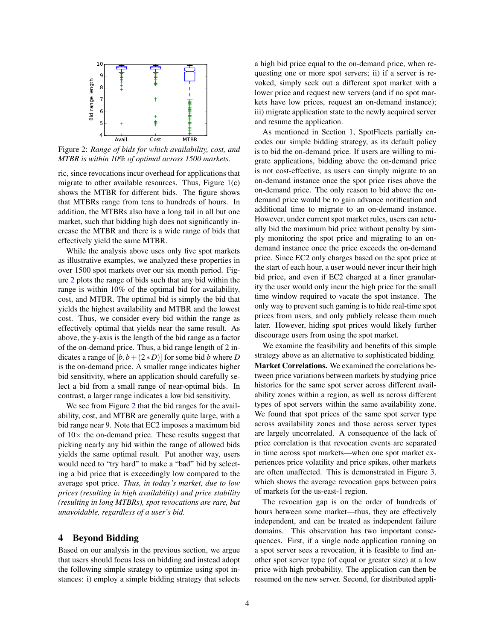<span id="page-3-0"></span>

Figure 2: *Range of bids for which availability, cost, and MTBR is within 10% of optimal across 1500 markets.*

ric, since revocations incur overhead for applications that migrate to other available resources. Thus, Figure  $1(c)$  $1(c)$ shows the MTBR for different bids. The figure shows that MTBRs range from tens to hundreds of hours. In addition, the MTBRs also have a long tail in all but one market, such that bidding high does not significantly increase the MTBR and there is a wide range of bids that effectively yield the same MTBR.

While the analysis above uses only five spot markets as illustrative examples, we analyzed these properties in over 1500 spot markets over our six month period. Figure [2](#page-3-0) plots the range of bids such that any bid within the range is within 10% of the optimal bid for availability, cost, and MTBR. The optimal bid is simply the bid that yields the highest availability and MTBR and the lowest cost. Thus, we consider every bid within the range as effectively optimal that yields near the same result. As above, the y-axis is the length of the bid range as a factor of the on-demand price. Thus, a bid range length of 2 indicates a range of  $[b, b + (2*D)]$  for some bid *b* where *D* is the on-demand price. A smaller range indicates higher bid sensitivity, where an application should carefully select a bid from a small range of near-optimal bids. In contrast, a larger range indicates a low bid sensitivity.

We see from Figure [2](#page-3-0) that the bid ranges for the availability, cost, and MTBR are generally quite large, with a bid range near 9. Note that EC2 imposes a maximum bid of  $10\times$  the on-demand price. These results suggest that picking nearly any bid within the range of allowed bids yields the same optimal result. Put another way, users would need to "try hard" to make a "bad" bid by selecting a bid price that is exceedingly low compared to the average spot price. *Thus, in today's market, due to low prices (resulting in high availability) and price stability (resulting in long MTBRs), spot revocations are rare, but unavoidable, regardless of a user's bid.*

#### 4 Beyond Bidding

Based on our analysis in the previous section, we argue that users should focus less on bidding and instead adopt the following simple strategy to optimize using spot instances: i) employ a simple bidding strategy that selects a high bid price equal to the on-demand price, when requesting one or more spot servers; ii) if a server is revoked, simply seek out a different spot market with a lower price and request new servers (and if no spot markets have low prices, request an on-demand instance); iii) migrate application state to the newly acquired server and resume the application.

As mentioned in Section 1, SpotFleets partially encodes our simple bidding strategy, as its default policy is to bid the on-demand price. If users are willing to migrate applications, bidding above the on-demand price is not cost-effective, as users can simply migrate to an on-demand instance once the spot price rises above the on-demand price. The only reason to bid above the ondemand price would be to gain advance notification and additional time to migrate to an on-demand instance. However, under current spot market rules, users can actually bid the maximum bid price without penalty by simply monitoring the spot price and migrating to an ondemand instance once the price exceeds the on-demand price. Since EC2 only charges based on the spot price at the start of each hour, a user would never incur their high bid price, and even if EC2 charged at a finer granularity the user would only incur the high price for the small time window required to vacate the spot instance. The only way to prevent such gaming is to hide real-time spot prices from users, and only publicly release them much later. However, hiding spot prices would likely further discourage users from using the spot market.

We examine the feasibility and benefits of this simple strategy above as an alternative to sophisticated bidding. Market Correlations. We examined the correlations between price variations between markets by studying price histories for the same spot server across different availability zones within a region, as well as across different types of spot servers within the same availability zone. We found that spot prices of the same spot server type across availability zones and those across server types are largely uncorrelated. A consequence of the lack of price correlation is that revocation events are separated in time across spot markets—when one spot market experiences price volatility and price spikes, other markets are often unaffected. This is demonstrated in Figure [3,](#page-4-0) which shows the average revocation gaps between pairs of markets for the us-east-1 region.

The revocation gap is on the order of hundreds of hours between some market—thus, they are effectively independent, and can be treated as independent failure domains. This observation has two important consequences. First, if a single node application running on a spot server sees a revocation, it is feasible to find another spot server type (of equal or greater size) at a low price with high probability. The application can then be resumed on the new server. Second, for distributed appli-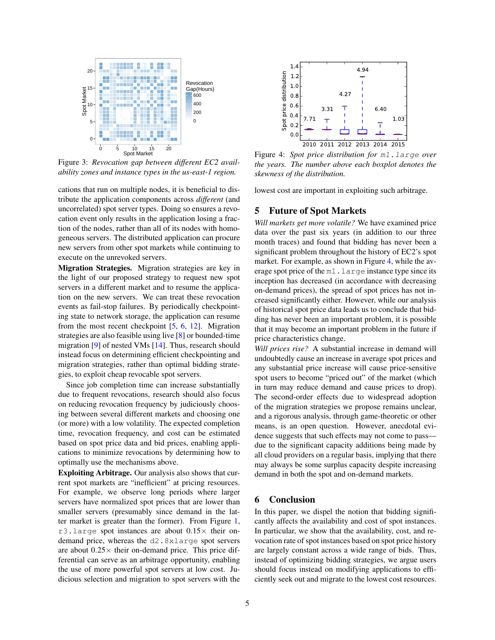<span id="page-4-0"></span>

Figure 3: *Revocation gap between different EC2 availability zones and instance types in the us-east-1 region.*

cations that run on multiple nodes, it is beneficial to distribute the application components across *different* (and uncorrelated) spot server types. Doing so ensures a revocation event only results in the application losing a fraction of the nodes, rather than all of its nodes with homogeneous servers. The distributed application can procure new servers from other spot markets while continuing to execute on the unrevoked servers.

Migration Strategies. Migration strategies are key in the light of our proposed strategy to request new spot servers in a different market and to resume the application on the new servers. We can treat these revocation events as fail-stop failures. By periodically checkpointing state to network storage, the application can resume from the most recent checkpoint  $[5, 6, 12]$  $[5, 6, 12]$  $[5, 6, 12]$  $[5, 6, 12]$  $[5, 6, 12]$ . Migration strategies are also feasible using live [\[8\]](#page-5-15) or bounded-time migration [\[9\]](#page-5-16) of nested VMs [\[14\]](#page-5-17). Thus, research should instead focus on determining efficient checkpointing and migration strategies, rather than optimal bidding strategies, to exploit cheap revocable spot servers.

Since job completion time can increase substantially due to frequent revocations, research should also focus on reducing revocation frequency by judiciously choosing between several different markets and choosing one (or more) with a low volatility. The expected completion time, revocation frequency, and cost can be estimated based on spot price data and bid prices, enabling applications to minimize revocations by determining how to optimally use the mechanisms above.

Exploiting Arbitrage. Our analysis also shows that current spot markets are "inefficient" at pricing resources. For example, we observe long periods where larger servers have normalized spot prices that are lower than smaller servers (presumably since demand in the latter market is greater than the former). From Figure [1,](#page-2-0) r3.large spot instances are about  $0.15\times$  their ondemand price, whereas the d2.8xlarge spot servers are about  $0.25 \times$  their on-demand price. This price differential can serve as an arbitrage opportunity, enabling the use of more powerful spot servers at low cost. Judicious selection and migration to spot servers with the

<span id="page-4-1"></span>

Figure 4: *Spot price distribution for* m1.large *over the years. The number above each boxplot denotes the skewness of the distribution.*

lowest cost are important in exploiting such arbitrage.

# 5 Future of Spot Markets

*Will markets get more volatile?* We have examined price data over the past six years (in addition to our three month traces) and found that bidding has never been a significant problem throughout the history of EC2's spot market. For example, as shown in Figure [4,](#page-4-1) while the average spot price of the m1.large instance type since its inception has decreased (in accordance with decreasing on-demand prices), the spread of spot prices has not increased significantly either. However, while our analysis of historical spot price data leads us to conclude that bidding has never been an important problem, it is possible that it may become an important problem in the future if price characteristics change.

*Will prices rise?* A substantial increase in demand will undoubtedly cause an increase in average spot prices and any substantial price increase will cause price-sensitive spot users to become "priced out" of the market (which in turn may reduce demand and cause prices to drop). The second-order effects due to widespread adoption of the migration strategies we propose remains unclear, and a rigorous analysis, through game-theoretic or other means, is an open question. However, anecdotal evidence suggests that such effects may not come to pass due to the significant capacity additions being made by all cloud providers on a regular basis, implying that there may always be some surplus capacity despite increasing demand in both the spot and on-demand markets.

### 6 Conclusion

In this paper, we dispel the notion that bidding significantly affects the availability and cost of spot instances. In particular, we show that the availability, cost, and revocation rate of spot instances based on spot price history are largely constant across a wide range of bids. Thus, instead of optimizing bidding strategies, we argue users should focus instead on modifying applications to efficiently seek out and migrate to the lowest cost resources.